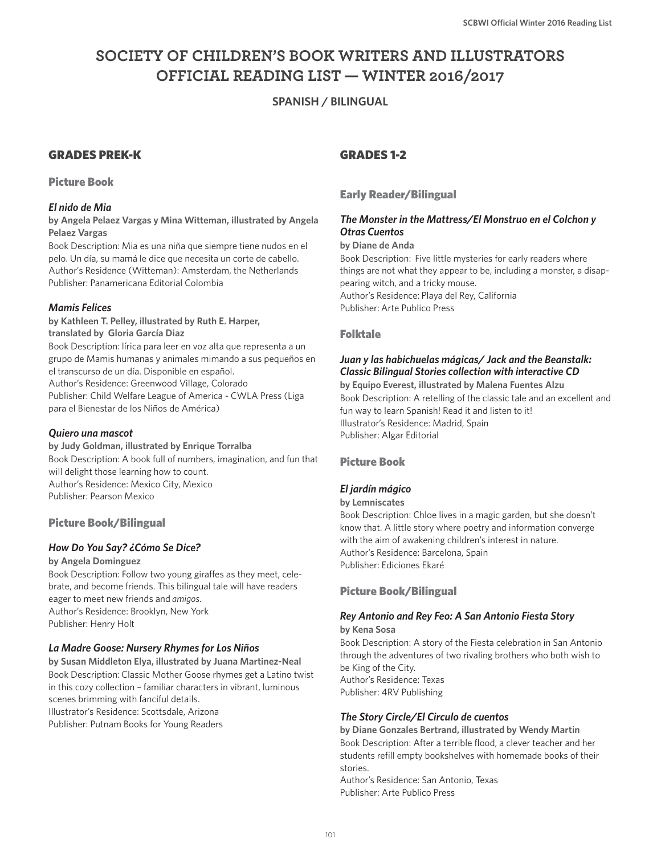# **SOCIETY OF CHILDREN'S BOOK WRITERS AND ILLUSTRATORS OFFICIAL READING LIST — WINTER 2016/2017**

# **SPANISH / BILINGUAL**

# GRADES PREK-K

#### Picture Book

### *El nido de Mia*

**by Angela Pelaez Vargas y Mina Witteman, illustrated by Angela Pelaez Vargas**

Book Description: Mia es una niña que siempre tiene nudos en el pelo. Un día, su mamá le dice que necesita un corte de cabello. Author's Residence (Witteman): Amsterdam, the Netherlands Publisher: Panamericana Editorial Colombia

### *Mamis Felices*

**by Kathleen T. Pelley, illustrated by Ruth E. Harper, translated by Gloria García Diaz** Book Description: lírica para leer en voz alta que representa a un grupo de Mamis humanas y animales mimando a sus pequeños en el transcurso de un día. Disponible en español. Author's Residence: Greenwood Village, Colorado Publisher: Child Welfare League of America - CWLA Press (Liga para el Bienestar de los Niños de América)

#### *Quiero una mascot*

#### **by Judy Goldman, illustrated by Enrique Torralba**

Book Description: A book full of numbers, imagination, and fun that will delight those learning how to count. Author's Residence: Mexico City, Mexico Publisher: Pearson Mexico

#### Picture Book/Bilingual

#### *How Do You Say? ¿Cómo Se Dice?*

**by Angela Dominguez** Book Description: Follow two young giraffes as they meet, celebrate, and become friends. This bilingual tale will have readers eager to meet new friends and *amigos*. Author's Residence: Brooklyn, New York Publisher: Henry Holt

#### *La Madre Goose: Nursery Rhymes for Los Niños*

**by Susan Middleton Elya, illustrated by Juana Martinez-Neal** Book Description: Classic Mother Goose rhymes get a Latino twist in this cozy collection – familiar characters in vibrant, luminous scenes brimming with fanciful details. Illustrator's Residence: Scottsdale, Arizona Publisher: Putnam Books for Young Readers

# GRADES 1-2

# Early Reader/Bilingual

# *The Monster in the Mattress/El Monstruo en el Colchon y Otras Cuentos*

#### **by Diane de Anda**

Book Description: Five little mysteries for early readers where things are not what they appear to be, including a monster, a disappearing witch, and a tricky mouse. Author's Residence: Playa del Rey, California Publisher: Arte Publico Press

#### Folktale

# *Juan y las habichuelas mágicas/ Jack and the Beanstalk: Classic Bilingual Stories collection with interactive CD*

**by Equipo Everest, illustrated by Malena Fuentes Alzu** Book Description: A retelling of the classic tale and an excellent and fun way to learn Spanish! Read it and listen to it! Illustrator's Residence: Madrid, Spain Publisher: Algar Editorial

#### Picture Book

#### *El jardín mágico*

#### **by Lemniscates**

Book Description: Chloe lives in a magic garden, but she doesn't know that. A little story where poetry and information converge with the aim of awakening children's interest in nature. Author's Residence: Barcelona, Spain Publisher: Ediciones Ekaré

#### Picture Book/Bilingual

#### *Rey Antonio and Rey Feo: A San Antonio Fiesta Story*

**by Kena Sosa**

Book Description: A story of the Fiesta celebration in San Antonio through the adventures of two rivaling brothers who both wish to be King of the City. Author's Residence: Texas Publisher: 4RV Publishing

#### *The Story Circle/El Circulo de cuentos*

**by Diane Gonzales Bertrand, illustrated by Wendy Martin** Book Description: After a terrible flood, a clever teacher and her students refill empty bookshelves with homemade books of their stories.

Author's Residence: San Antonio, Texas Publisher: Arte Publico Press